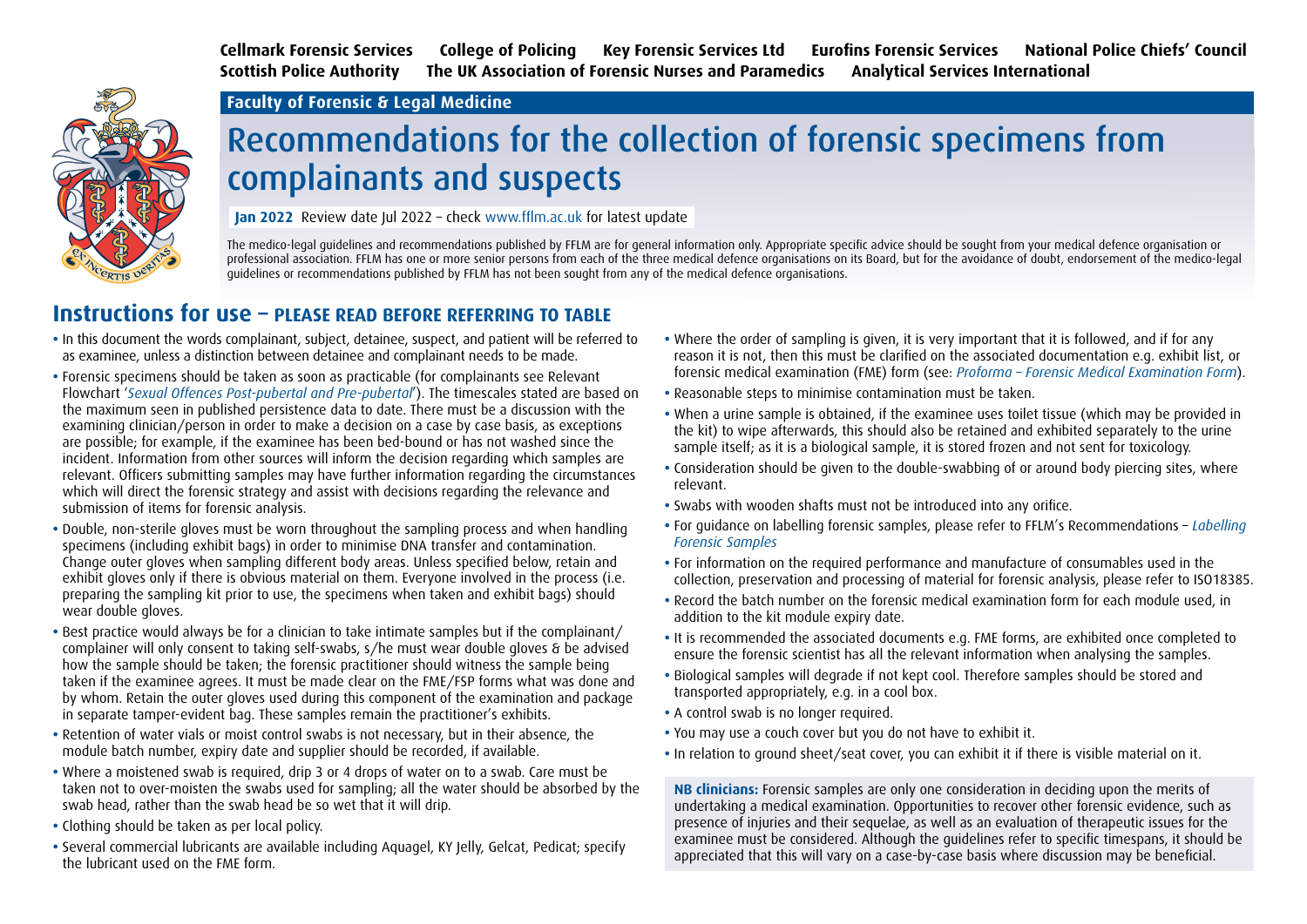**Cellmark Forensic Services College of Policing Key Forensic Services Ltd Eurofins Forensic Services National Police Chiefs' Council Scottish Police Authority The UK Association of Forensic Nurses and Paramedics Analytical Services International** 



#### **Faculty of Forensic & Legal Medicine**

# Recommendations for the collection of forensic specimens from complainants and suspects

**Jan 2022** Review date Jul 2022 – check www.fflm.ac.uk for latest update

The medico-legal guidelines and recommendations published by FFLM are for general information only. Appropriate specific advice should be sought from your medical defence organisation or professional association. FFLM has one or more senior persons from each of the three medical defence organisations on its Board, but for the avoidance of doubt, endorsement of the medico-legal guidelines or recommendations published by FFLM has not been sought from any of the medical defence organisations.

#### **Instructions for use – PLEASE READ BEFORE REFERRING TO TABLE**

- **•** In this document the words complainant, subject, detainee, suspect, and patient will be referred to as examinee, unless a distinction between detainee and complainant needs to be made.
- **•** Forensic specimens should be taken as soon as practicable (for complainants see Relevant Flowchart '*[Sexual Offences Post-pubertal and Pre-pubertal](https://fflm.ac.uk/publications/guide-to-establishing-urgency-of-sexual-offence-examination/)*'). The timescales stated are based on the maximum seen in published persistence data to date. There must be a discussion with the examining clinician/person in order to make a decision on a case by case basis, as exceptions are possible; for example, if the examinee has been bed-bound or has not washed since the incident. Information from other sources will inform the decision regarding which samples are relevant. Officers submitting samples may have further information regarding the circumstances which will direct the forensic strategy and assist with decisions regarding the relevance and submission of items for forensic analysis.
- **•** Double, non-sterile gloves must be worn throughout the sampling process and when handling specimens (including exhibit bags) in order to minimise DNA transfer and contamination. Change outer gloves when sampling different body areas. Unless specified below, retain and exhibit gloves only if there is obvious material on them. Everyone involved in the process (i.e. preparing the sampling kit prior to use, the specimens when taken and exhibit bags) should wear double gloves.
- **•** Best practice would always be for a clinician to take intimate samples but if the complainant/ complainer will only consent to taking self-swabs, s/he must wear double gloves & be advised how the sample should be taken; the forensic practitioner should witness the sample being taken if the examinee agrees. It must be made clear on the FME/FSP forms what was done and by whom. Retain the outer gloves used during this component of the examination and package in separate tamper-evident bag. These samples remain the practitioner's exhibits.
- **•** Retention of water vials or moist control swabs is not necessary, but in their absence, the module batch number, expiry date and supplier should be recorded, if available.
- **•** Where a moistened swab is required, drip 3 or 4 drops of water on to a swab. Care must be taken not to over-moisten the swabs used for sampling; all the water should be absorbed by the swab head, rather than the swab head be so wet that it will drip.
- **•** Clothing should be taken as per local policy.
- **•** Several commercial lubricants are available including Aquagel, KY Jelly, Gelcat, Pedicat; specify the lubricant used on the FME form.
- **•** Where the order of sampling is given, it is very important that it is followed, and if for any reason it is not, then this must be clarified on the associated documentation e.g. exhibit list, or forensic medical examination (FME) form (see: *[Proforma – Forensic Medical Examination Form](https://fflm.ac.uk/publications/pro-forma-forensic-medical-examination-forms-2/)*).
- **•** Reasonable steps to minimise contamination must be taken.
- **•** When a urine sample is obtained, if the examinee uses toilet tissue (which may be provided in the kit) to wipe afterwards, this should also be retained and exhibited separately to the urine sample itself; as it is a biological sample, it is stored frozen and not sent for toxicology.
- **•** Consideration should be given to the double-swabbing of or around body piercing sites, where relevant.
- **•** Swabs with wooden shafts must not be introduced into any orifice.
- **•** For guidance on labelling forensic samples, please refer to FFLM's Recommendations *[Labelling](https://fflm.ac.uk/publications/recommendations-labelling-forensic-samples/)  [Forensic Samples](https://fflm.ac.uk/publications/recommendations-labelling-forensic-samples/)*
- **•** For information on the required performance and manufacture of consumables used in the collection, preservation and processing of material for forensic analysis, please refer to ISO18385.
- **•** Record the batch number on the forensic medical examination form for each module used, in addition to the kit module expiry date.
- **•** It is recommended the associated documents e.g. FME forms, are exhibited once completed to ensure the forensic scientist has all the relevant information when analysing the samples.
- **•** Biological samples will degrade if not kept cool. Therefore samples should be stored and transported appropriately, e.g. in a cool box.
- A control swab is no longer required.
- **•** You may use a couch cover but you do not have to exhibit it.
- **•** In relation to ground sheet/seat cover, you can exhibit it if there is visible material on it.

**NB clinicians:** Forensic samples are only one consideration in deciding upon the merits of undertaking a medical examination. Opportunities to recover other forensic evidence, such as presence of injuries and their sequelae, as well as an evaluation of therapeutic issues for the examinee must be considered. Although the guidelines refer to specific timespans, it should be appreciated that this will vary on a case-by-case basis where discussion may be beneficial.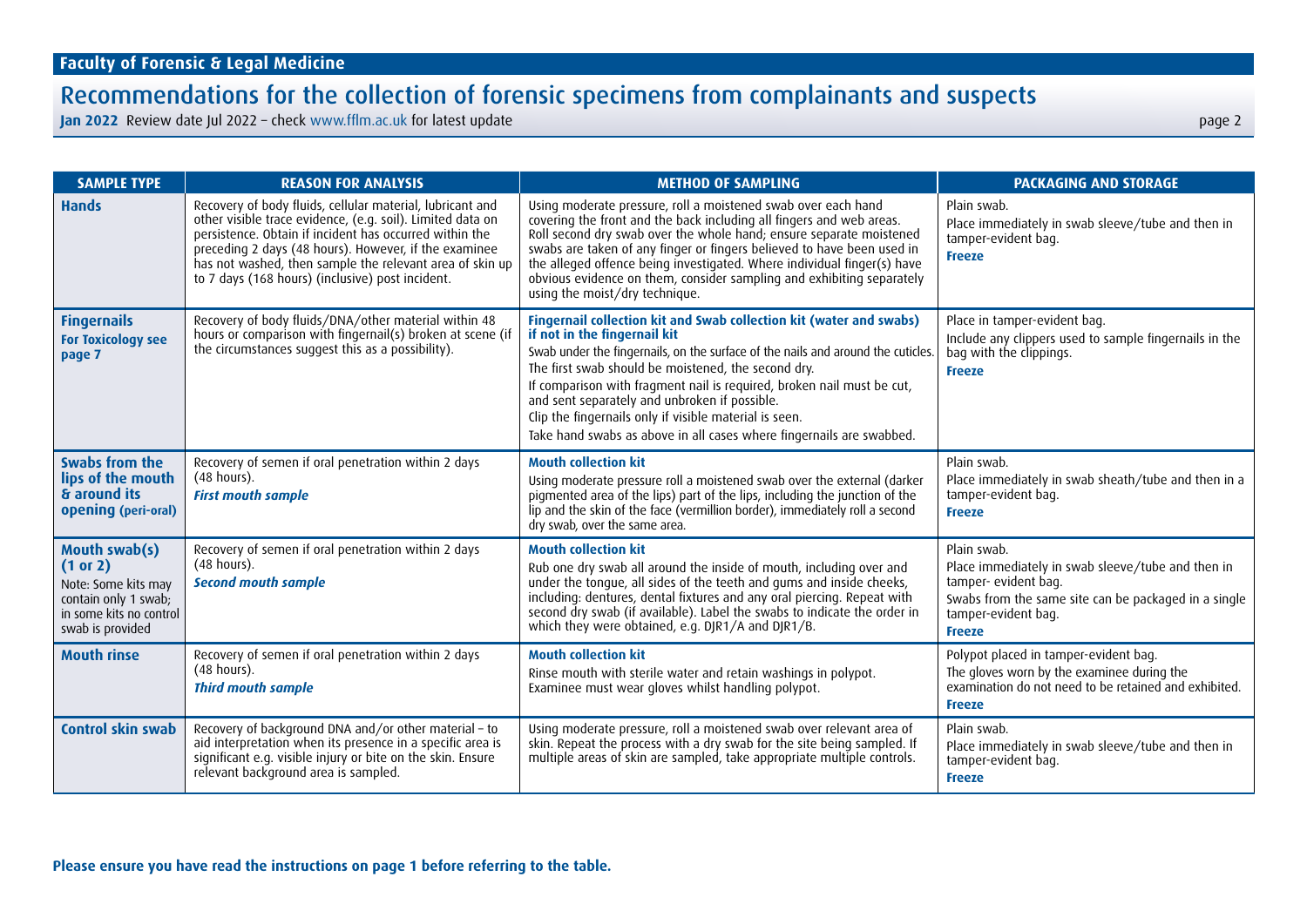| <b>SAMPLE TYPE</b>                                                                                                      | <b>REASON FOR ANALYSIS</b>                                                                                                                                                                                                                                                                                                                                  | <b>METHOD OF SAMPLING</b>                                                                                                                                                                                                                                                                                                                                                                                                                                                                                   | <b>PACKAGING AND STORAGE</b>                                                                                                                                                             |
|-------------------------------------------------------------------------------------------------------------------------|-------------------------------------------------------------------------------------------------------------------------------------------------------------------------------------------------------------------------------------------------------------------------------------------------------------------------------------------------------------|-------------------------------------------------------------------------------------------------------------------------------------------------------------------------------------------------------------------------------------------------------------------------------------------------------------------------------------------------------------------------------------------------------------------------------------------------------------------------------------------------------------|------------------------------------------------------------------------------------------------------------------------------------------------------------------------------------------|
| <b>Hands</b>                                                                                                            | Recovery of body fluids, cellular material, lubricant and<br>other visible trace evidence, (e.g. soil). Limited data on<br>persistence. Obtain if incident has occurred within the<br>preceding 2 days (48 hours). However, if the examinee<br>has not washed, then sample the relevant area of skin up<br>to 7 days (168 hours) (inclusive) post incident. | Using moderate pressure, roll a moistened swab over each hand<br>covering the front and the back including all fingers and web areas.<br>Roll second dry swab over the whole hand; ensure separate moistened<br>swabs are taken of any finger or fingers believed to have been used in<br>the alleged offence being investigated. Where individual finger(s) have<br>obvious evidence on them, consider sampling and exhibiting separately<br>using the moist/dry technique.                                | Plain swab.<br>Place immediately in swab sleeve/tube and then in<br>tamper-evident bag.<br><b>Freeze</b>                                                                                 |
| <b>Fingernails</b><br><b>For Toxicology see</b><br>page 7                                                               | Recovery of body fluids/DNA/other material within 48<br>hours or comparison with fingernail(s) broken at scene (if<br>the circumstances suggest this as a possibility).                                                                                                                                                                                     | Fingernail collection kit and Swab collection kit (water and swabs)<br>if not in the fingernail kit<br>Swab under the fingernails, on the surface of the nails and around the cuticles.<br>The first swab should be moistened, the second dry.<br>If comparison with fragment nail is required, broken nail must be cut,<br>and sent separately and unbroken if possible.<br>Clip the fingernails only if visible material is seen.<br>Take hand swabs as above in all cases where fingernails are swabbed. | Place in tamper-evident bag.<br>Include any clippers used to sample fingernails in the<br>bag with the clippings.<br><b>Freeze</b>                                                       |
| Swabs from the<br>lips of the mouth<br>& around its<br>opening (peri-oral)                                              | Recovery of semen if oral penetration within 2 days<br>(48 hours).<br><b>First mouth sample</b>                                                                                                                                                                                                                                                             | <b>Mouth collection kit</b><br>Using moderate pressure roll a moistened swab over the external (darker<br>pigmented area of the lips) part of the lips, including the junction of the<br>lip and the skin of the face (vermillion border), immediately roll a second<br>dry swab, over the same area.                                                                                                                                                                                                       | Plain swab.<br>Place immediately in swab sheath/tube and then in a<br>tamper-evident bag.<br><b>Freeze</b>                                                                               |
| Mouth swab(s)<br>(1 or 2)<br>Note: Some kits may<br>contain only 1 swab;<br>in some kits no control<br>swab is provided | Recovery of semen if oral penetration within 2 days<br>(48 hours).<br><b>Second mouth sample</b>                                                                                                                                                                                                                                                            | <b>Mouth collection kit</b><br>Rub one dry swab all around the inside of mouth, including over and<br>under the tongue, all sides of the teeth and gums and inside cheeks,<br>including: dentures, dental fixtures and any oral piercing. Repeat with<br>second dry swab (if available). Label the swabs to indicate the order in<br>which they were obtained, e.g. DJR1/A and DJR1/B.                                                                                                                      | Plain swab.<br>Place immediately in swab sleeve/tube and then in<br>tamper- evident bag.<br>Swabs from the same site can be packaged in a single<br>tamper-evident bag.<br><b>Freeze</b> |
| <b>Mouth rinse</b>                                                                                                      | Recovery of semen if oral penetration within 2 days<br>(48 hours).<br><b>Third mouth sample</b>                                                                                                                                                                                                                                                             | <b>Mouth collection kit</b><br>Rinse mouth with sterile water and retain washings in polypot.<br>Examinee must wear gloves whilst handling polypot.                                                                                                                                                                                                                                                                                                                                                         | Polypot placed in tamper-evident bag.<br>The gloves worn by the examinee during the<br>examination do not need to be retained and exhibited.<br><b>Freeze</b>                            |
| <b>Control skin swab</b>                                                                                                | Recovery of background DNA and/or other material - to<br>aid interpretation when its presence in a specific area is<br>significant e.g. visible injury or bite on the skin. Ensure<br>relevant background area is sampled.                                                                                                                                  | Using moderate pressure, roll a moistened swab over relevant area of<br>skin. Repeat the process with a dry swab for the site being sampled. If<br>multiple areas of skin are sampled, take appropriate multiple controls.                                                                                                                                                                                                                                                                                  | Plain swab.<br>Place immediately in swab sleeve/tube and then in<br>tamper-evident bag.<br><b>Freeze</b>                                                                                 |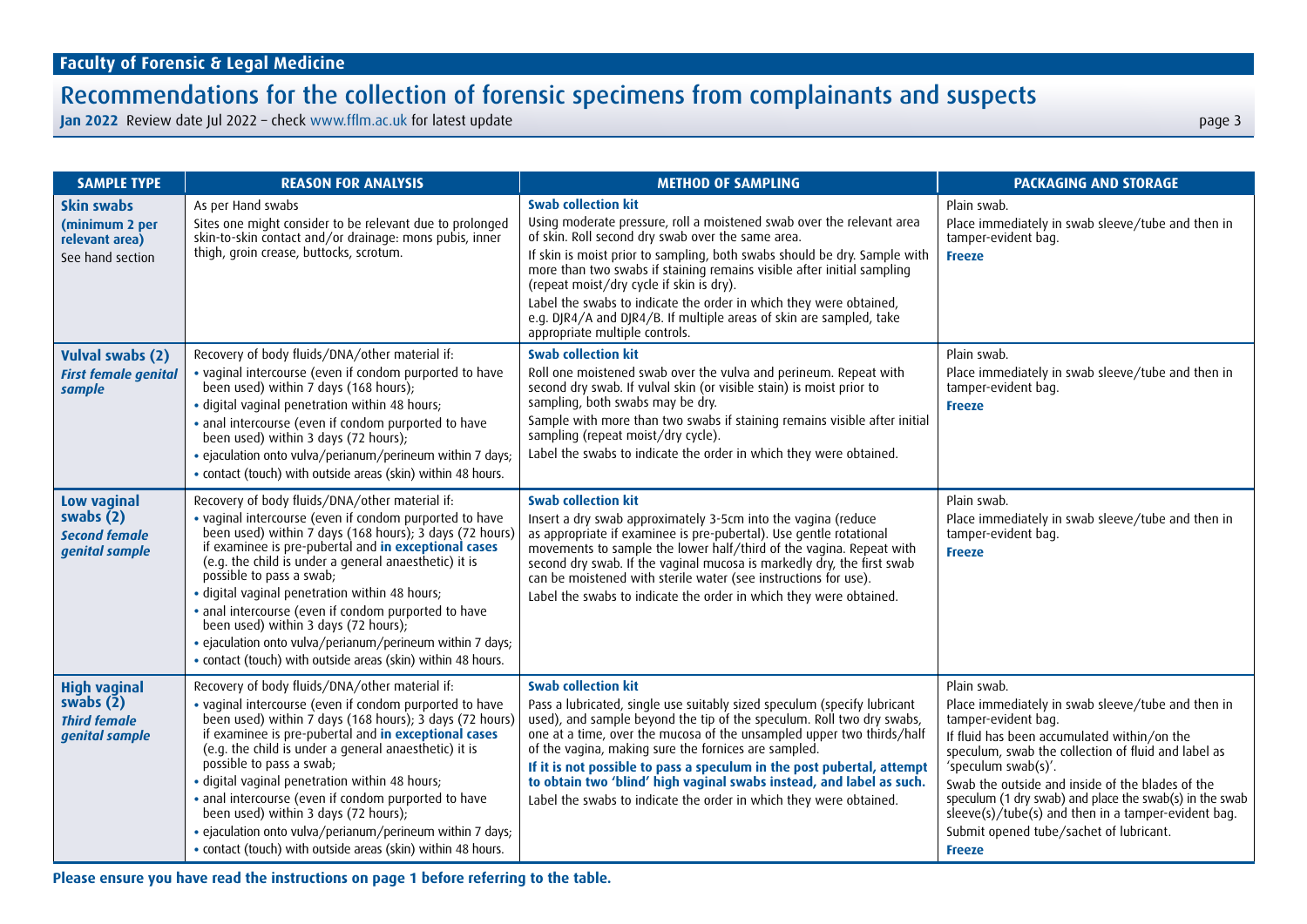**Jan 2022** Review date Jul 2022 – check <www.fflm.ac.uk> for latest update page 3

| <b>SAMPLE TYPE</b>                                                                | <b>REASON FOR ANALYSIS</b>                                                                                                                                                                                                                                                                                                                                                                                                                                                                                                                                                                       | <b>METHOD OF SAMPLING</b>                                                                                                                                                                                                                                                                                                                                                                                                                                                                                                                  | <b>PACKAGING AND STORAGE</b>                                                                                                                                                                                                                                                                                                                                                                                                                           |
|-----------------------------------------------------------------------------------|--------------------------------------------------------------------------------------------------------------------------------------------------------------------------------------------------------------------------------------------------------------------------------------------------------------------------------------------------------------------------------------------------------------------------------------------------------------------------------------------------------------------------------------------------------------------------------------------------|--------------------------------------------------------------------------------------------------------------------------------------------------------------------------------------------------------------------------------------------------------------------------------------------------------------------------------------------------------------------------------------------------------------------------------------------------------------------------------------------------------------------------------------------|--------------------------------------------------------------------------------------------------------------------------------------------------------------------------------------------------------------------------------------------------------------------------------------------------------------------------------------------------------------------------------------------------------------------------------------------------------|
| Skin swabs<br>(minimum 2 per<br>relevant area)<br>See hand section                | As per Hand swabs<br>Sites one might consider to be relevant due to prolonged<br>skin-to-skin contact and/or drainage: mons pubis, inner<br>thigh, groin crease, buttocks, scrotum.                                                                                                                                                                                                                                                                                                                                                                                                              | <b>Swab collection kit</b><br>Using moderate pressure, roll a moistened swab over the relevant area<br>of skin. Roll second dry swab over the same area.<br>If skin is moist prior to sampling, both swabs should be dry. Sample with<br>more than two swabs if staining remains visible after initial sampling<br>(repeat moist/dry cycle if skin is dry).<br>Label the swabs to indicate the order in which they were obtained,<br>e.g. DJR4/A and DJR4/B. If multiple areas of skin are sampled, take<br>appropriate multiple controls. | Plain swab.<br>Place immediately in swab sleeve/tube and then in<br>tamper-evident bag.<br><b>Freeze</b>                                                                                                                                                                                                                                                                                                                                               |
| <b>Vulval swabs (2)</b><br><b>First female genital</b><br>sample                  | Recovery of body fluids/DNA/other material if:<br>• vaginal intercourse (even if condom purported to have<br>been used) within 7 days (168 hours);<br>· digital vaginal penetration within 48 hours;<br>· anal intercourse (even if condom purported to have<br>been used) within 3 days (72 hours);<br>• ejaculation onto vulva/perianum/perineum within 7 days;<br>• contact (touch) with outside areas (skin) within 48 hours.                                                                                                                                                                | <b>Swab collection kit</b><br>Roll one moistened swab over the vulva and perineum. Repeat with<br>second dry swab. If vulval skin (or visible stain) is moist prior to<br>sampling, both swabs may be dry.<br>Sample with more than two swabs if staining remains visible after initial<br>sampling (repeat moist/dry cycle).<br>Label the swabs to indicate the order in which they were obtained.                                                                                                                                        | Plain swab.<br>Place immediately in swab sleeve/tube and then in<br>tamper-evident bag.<br><b>Freeze</b>                                                                                                                                                                                                                                                                                                                                               |
| Low vaginal<br>swabs $(2)$<br><b>Second female</b><br>genital sample              | Recovery of body fluids/DNA/other material if:<br>. vaginal intercourse (even if condom purported to have<br>been used) within 7 days (168 hours); 3 days (72 hours)<br>if examinee is pre-pubertal and in exceptional cases<br>(e.g. the child is under a general anaesthetic) it is<br>possible to pass a swab;<br>· digital vaginal penetration within 48 hours;<br>· anal intercourse (even if condom purported to have<br>been used) within 3 days (72 hours);<br>· ejaculation onto vulva/perianum/perineum within 7 days;<br>. contact (touch) with outside areas (skin) within 48 hours. | <b>Swab collection kit</b><br>Insert a dry swab approximately 3-5cm into the vagina (reduce<br>as appropriate if examinee is pre-pubertal). Use gentle rotational<br>movements to sample the lower half/third of the vagina. Repeat with<br>second dry swab. If the vaginal mucosa is markedly dry, the first swab<br>can be moistened with sterile water (see instructions for use).<br>Label the swabs to indicate the order in which they were obtained.                                                                                | Plain swab.<br>Place immediately in swab sleeve/tube and then in<br>tamper-evident bag.<br><b>Freeze</b>                                                                                                                                                                                                                                                                                                                                               |
| <b>High vaginal</b><br>swabs $(\bar{2})$<br><b>Third female</b><br>genital sample | Recovery of body fluids/DNA/other material if:<br>. vaginal intercourse (even if condom purported to have<br>been used) within 7 days (168 hours); 3 days (72 hours)<br>if examinee is pre-pubertal and in exceptional cases<br>(e.g. the child is under a general anaesthetic) it is<br>possible to pass a swab;<br>· digital vaginal penetration within 48 hours;<br>· anal intercourse (even if condom purported to have<br>been used) within 3 days (72 hours);<br>• ejaculation onto vulva/perianum/perineum within 7 days;<br>• contact (touch) with outside areas (skin) within 48 hours. | <b>Swab collection kit</b><br>Pass a lubricated, single use suitably sized speculum (specify lubricant<br>used), and sample beyond the tip of the speculum. Roll two dry swabs,<br>one at a time, over the mucosa of the unsampled upper two thirds/half<br>of the vagina, making sure the fornices are sampled.<br>If it is not possible to pass a speculum in the post pubertal, attempt<br>to obtain two 'blind' high vaginal swabs instead, and label as such.<br>Label the swabs to indicate the order in which they were obtained.   | Plain swab.<br>Place immediately in swab sleeve/tube and then in<br>tamper-evident bag.<br>If fluid has been accumulated within/on the<br>speculum, swab the collection of fluid and label as<br>'speculum swab(s)'.<br>Swab the outside and inside of the blades of the<br>speculum (1 dry swab) and place the swab(s) in the swab<br>sleeve(s)/tube(s) and then in a tamper-evident bag.<br>Submit opened tube/sachet of lubricant.<br><b>Freeze</b> |

**Please ensure you have read the instructions on page 1 before referring to the table.**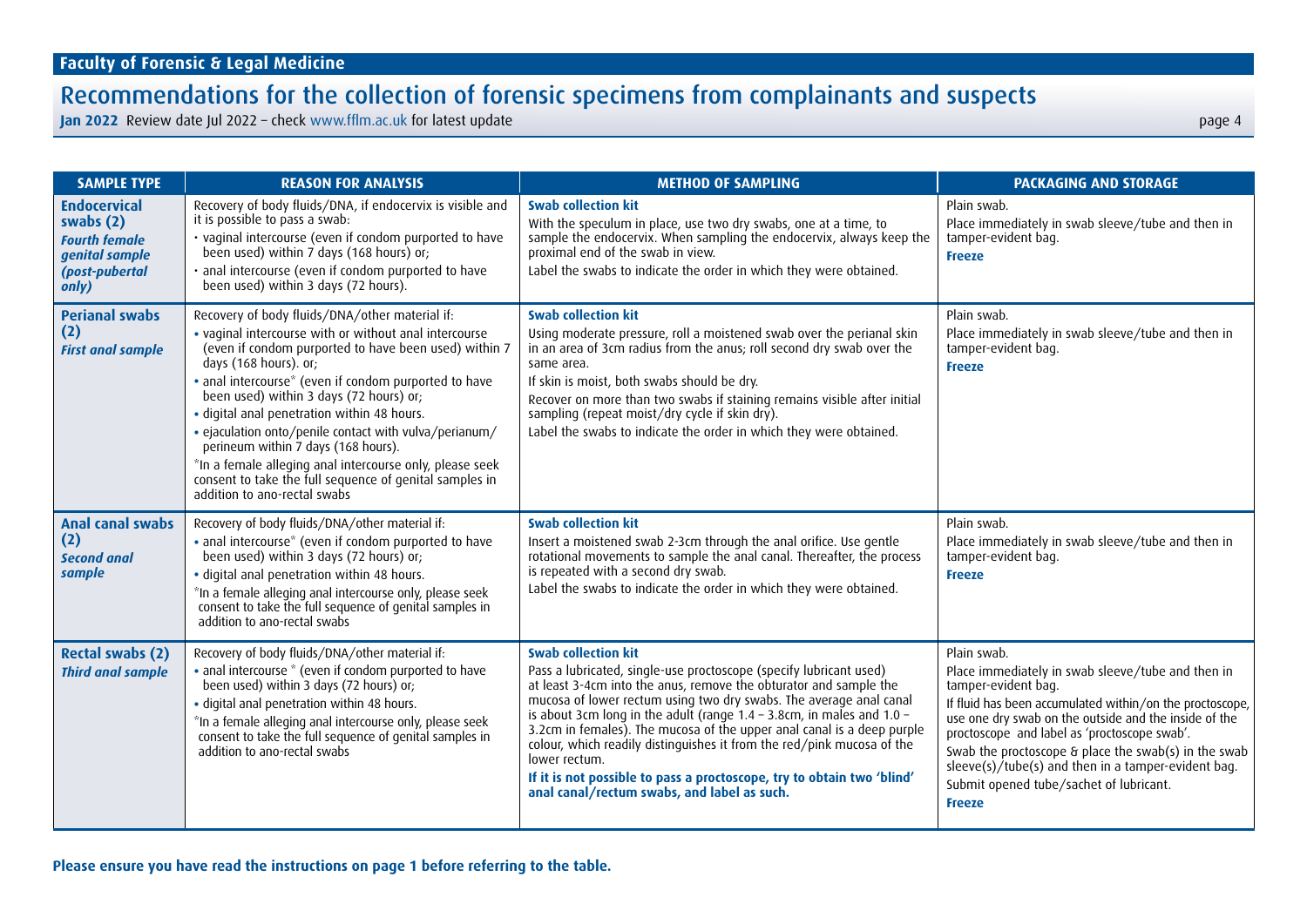| <b>SAMPLE TYPE</b>                                                                                      | <b>REASON FOR ANALYSIS</b>                                                                                                                                                                                                                                                                                                                                                                                                                                                                                                                                                                            | <b>METHOD OF SAMPLING</b>                                                                                                                                                                                                                                                                                                                                                                                                                                                                                                                                                                                               | <b>PACKAGING AND STORAGE</b>                                                                                                                                                                                                                                                                                                                                                                                                            |
|---------------------------------------------------------------------------------------------------------|-------------------------------------------------------------------------------------------------------------------------------------------------------------------------------------------------------------------------------------------------------------------------------------------------------------------------------------------------------------------------------------------------------------------------------------------------------------------------------------------------------------------------------------------------------------------------------------------------------|-------------------------------------------------------------------------------------------------------------------------------------------------------------------------------------------------------------------------------------------------------------------------------------------------------------------------------------------------------------------------------------------------------------------------------------------------------------------------------------------------------------------------------------------------------------------------------------------------------------------------|-----------------------------------------------------------------------------------------------------------------------------------------------------------------------------------------------------------------------------------------------------------------------------------------------------------------------------------------------------------------------------------------------------------------------------------------|
| <b>Endocervical</b><br>swabs $(2)$<br><b>Fourth female</b><br>genital sample<br>(post-pubertal<br>only) | Recovery of body fluids/DNA, if endocervix is visible and<br>it is possible to pass a swab:<br>· vaginal intercourse (even if condom purported to have<br>been used) within 7 days (168 hours) or;<br>· anal intercourse (even if condom purported to have<br>been used) within 3 days (72 hours).                                                                                                                                                                                                                                                                                                    | <b>Swab collection kit</b><br>With the speculum in place, use two dry swabs, one at a time, to<br>sample the endocervix. When sampling the endocervix, always keep the<br>proximal end of the swab in view.<br>Label the swabs to indicate the order in which they were obtained.                                                                                                                                                                                                                                                                                                                                       | Plain swab.<br>Place immediately in swab sleeve/tube and then in<br>tamper-evident bag.<br><b>Freeze</b>                                                                                                                                                                                                                                                                                                                                |
| <b>Perianal swabs</b><br>(2)<br><b>First anal sample</b>                                                | Recovery of body fluids/DNA/other material if:<br>. vaginal intercourse with or without anal intercourse<br>(even if condom purported to have been used) within 7<br>days (168 hours). or:<br>• anal intercourse* (even if condom purported to have<br>been used) within 3 days (72 hours) or;<br>· digital anal penetration within 48 hours.<br>• ejaculation onto/penile contact with vulva/perianum/<br>perineum within 7 days (168 hours).<br>*In a female alleging anal intercourse only, please seek<br>consent to take the full sequence of genital samples in<br>addition to ano-rectal swabs | <b>Swab collection kit</b><br>Using moderate pressure, roll a moistened swab over the perianal skin<br>in an area of 3cm radius from the anus; roll second dry swab over the<br>same area.<br>If skin is moist, both swabs should be dry.<br>Recover on more than two swabs if staining remains visible after initial<br>sampling (repeat moist/dry cycle if skin dry).<br>Label the swabs to indicate the order in which they were obtained.                                                                                                                                                                           | Plain swab.<br>Place immediately in swab sleeve/tube and then in<br>tamper-evident bag.<br><b>Freeze</b>                                                                                                                                                                                                                                                                                                                                |
| Anal canal swabs<br>(2)<br><b>Second anal</b><br>sample                                                 | Recovery of body fluids/DNA/other material if:<br>• anal intercourse* (even if condom purported to have<br>been used) within 3 days (72 hours) or;<br>· digital anal penetration within 48 hours.<br>*In a female alleging anal intercourse only, please seek<br>consent to take the full sequence of genital samples in<br>addition to ano-rectal swabs                                                                                                                                                                                                                                              | <b>Swab collection kit</b><br>Insert a moistened swab 2-3cm through the anal orifice. Use gentle<br>rotational movements to sample the anal canal. Thereafter, the process<br>is repeated with a second dry swab.<br>Label the swabs to indicate the order in which they were obtained.                                                                                                                                                                                                                                                                                                                                 | Plain swab.<br>Place immediately in swab sleeve/tube and then in<br>tamper-evident bag.<br><b>Freeze</b>                                                                                                                                                                                                                                                                                                                                |
| <b>Rectal swabs (2)</b><br><b>Third anal sample</b>                                                     | Recovery of body fluids/DNA/other material if:<br>• anal intercourse * (even if condom purported to have<br>been used) within 3 days (72 hours) or;<br>· digital anal penetration within 48 hours.<br>*In a female alleging anal intercourse only, please seek<br>consent to take the full sequence of genital samples in<br>addition to ano-rectal swabs                                                                                                                                                                                                                                             | <b>Swab collection kit</b><br>Pass a lubricated, single-use proctoscope (specify lubricant used)<br>at least 3-4cm into the anus, remove the obturator and sample the<br>mucosa of lower rectum using two dry swabs. The average anal canal<br>is about 3cm long in the adult (range $1.4 - 3.8$ cm, in males and $1.0 -$<br>3.2cm in females). The mucosa of the upper anal canal is a deep purple<br>colour, which readily distinguishes it from the red/pink mucosa of the<br>lower rectum.<br>If it is not possible to pass a proctoscope, try to obtain two 'blind'<br>anal canal/rectum swabs, and label as such. | Plain swab.<br>Place immediately in swab sleeve/tube and then in<br>tamper-evident bag.<br>If fluid has been accumulated within/on the proctoscope,<br>use one dry swab on the outside and the inside of the<br>proctoscope and label as 'proctoscope swab'.<br>Swab the proctoscope & place the swab(s) in the swab<br>sleeve(s)/tube(s) and then in a tamper-evident bag.<br>Submit opened tube/sachet of lubricant.<br><b>Freeze</b> |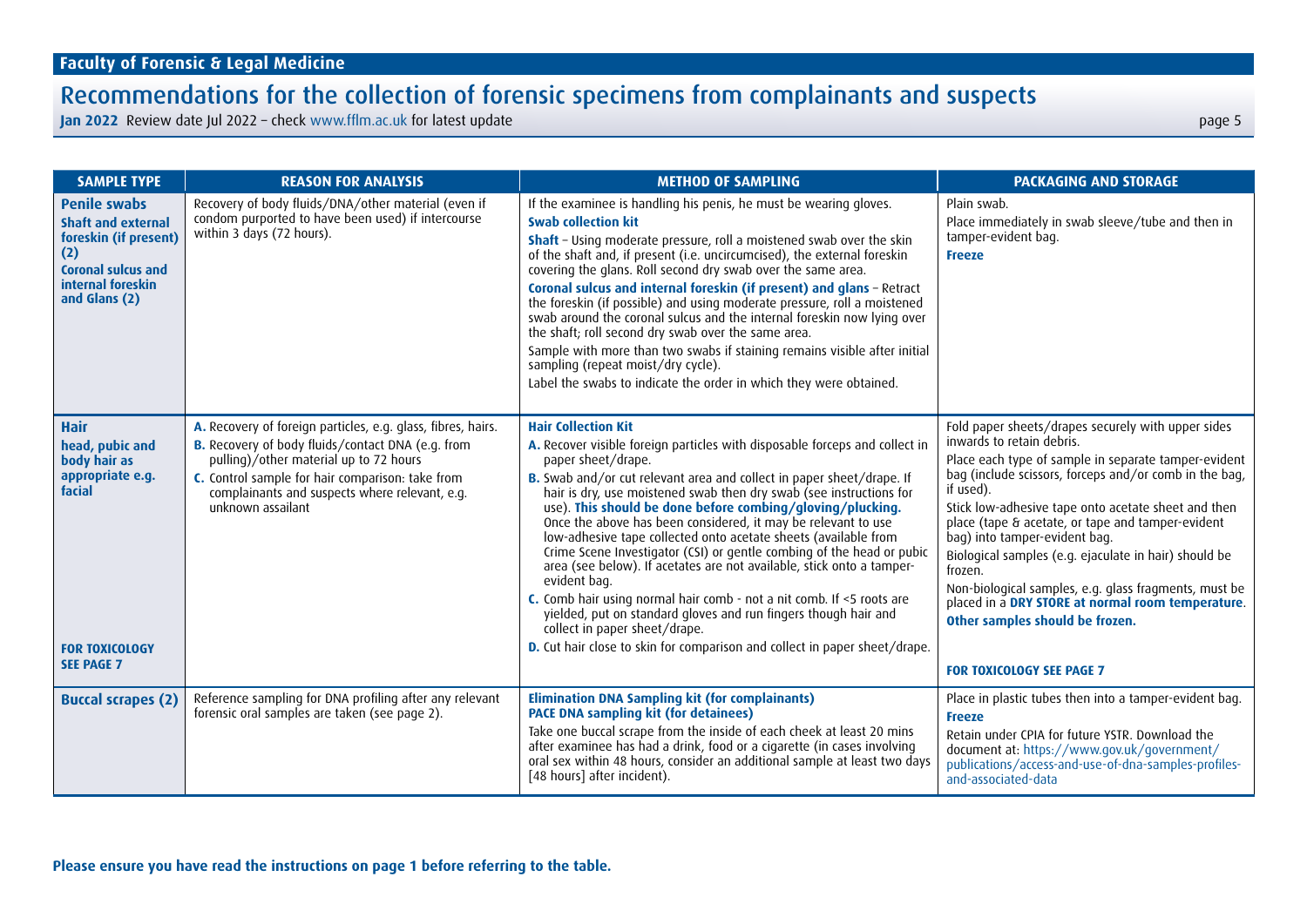| <b>SAMPLE TYPE</b>                                                                                                                                  | <b>REASON FOR ANALYSIS</b>                                                                                                                                                                                                                                                             | <b>METHOD OF SAMPLING</b>                                                                                                                                                                                                                                                                                                                                                                                                                                                                                                                                                                                                                                                                                                                                                                                                                                                                                      | <b>PACKAGING AND STORAGE</b>                                                                                                                                                                                                                                                                                                                                                                                                                                                                                                                                                                                         |
|-----------------------------------------------------------------------------------------------------------------------------------------------------|----------------------------------------------------------------------------------------------------------------------------------------------------------------------------------------------------------------------------------------------------------------------------------------|----------------------------------------------------------------------------------------------------------------------------------------------------------------------------------------------------------------------------------------------------------------------------------------------------------------------------------------------------------------------------------------------------------------------------------------------------------------------------------------------------------------------------------------------------------------------------------------------------------------------------------------------------------------------------------------------------------------------------------------------------------------------------------------------------------------------------------------------------------------------------------------------------------------|----------------------------------------------------------------------------------------------------------------------------------------------------------------------------------------------------------------------------------------------------------------------------------------------------------------------------------------------------------------------------------------------------------------------------------------------------------------------------------------------------------------------------------------------------------------------------------------------------------------------|
| <b>Penile swabs</b><br><b>Shaft and external</b><br>foreskin (if present)<br>(2)<br><b>Coronal sulcus and</b><br>internal foreskin<br>and Glans (2) | Recovery of body fluids/DNA/other material (even if<br>condom purported to have been used) if intercourse<br>within 3 days (72 hours).                                                                                                                                                 | If the examinee is handling his penis, he must be wearing gloves.<br><b>Swab collection kit</b><br><b>Shaft</b> - Using moderate pressure, roll a moistened swab over the skin<br>of the shaft and, if present (i.e. uncircumcised), the external foreskin<br>covering the glans. Roll second dry swab over the same area.<br>Coronal sulcus and internal foreskin (if present) and glans - Retract<br>the foreskin (if possible) and using moderate pressure, roll a moistened<br>swab around the coronal sulcus and the internal foreskin now lying over<br>the shaft; roll second dry swab over the same area.<br>Sample with more than two swabs if staining remains visible after initial<br>sampling (repeat moist/dry cycle).<br>Label the swabs to indicate the order in which they were obtained.                                                                                                     | Plain swab.<br>Place immediately in swab sleeve/tube and then in<br>tamper-evident bag.<br><b>Freeze</b>                                                                                                                                                                                                                                                                                                                                                                                                                                                                                                             |
| <b>Hair</b><br>head, pubic and<br>body hair as<br>appropriate e.g.<br>facial<br><b>FOR TOXICOLOGY</b><br><b>SEE PAGE 7</b>                          | A. Recovery of foreign particles, e.g. glass, fibres, hairs.<br>B. Recovery of body fluids/contact DNA (e.g. from<br>pulling)/other material up to 72 hours<br>C. Control sample for hair comparison: take from<br>complainants and suspects where relevant, e.g.<br>unknown assailant | <b>Hair Collection Kit</b><br>A. Recover visible foreign particles with disposable forceps and collect in<br>paper sheet/drape.<br>B. Swab and/or cut relevant area and collect in paper sheet/drape. If<br>hair is dry, use moistened swab then dry swab (see instructions for<br>use). This should be done before combing/gloving/plucking.<br>Once the above has been considered, it may be relevant to use<br>low-adhesive tape collected onto acetate sheets (available from<br>Crime Scene Investigator (CSI) or gentle combing of the head or pubic<br>area (see below). If acetates are not available, stick onto a tamper-<br>evident bag.<br>C. Comb hair using normal hair comb - not a nit comb. If <5 roots are<br>yielded, put on standard gloves and run fingers though hair and<br>collect in paper sheet/drape.<br>D. Cut hair close to skin for comparison and collect in paper sheet/drape. | Fold paper sheets/drapes securely with upper sides<br>inwards to retain debris.<br>Place each type of sample in separate tamper-evident<br>bag (include scissors, forceps and/or comb in the bag,<br>if used).<br>Stick low-adhesive tape onto acetate sheet and then<br>place (tape & acetate, or tape and tamper-evident<br>bag) into tamper-evident bag.<br>Biological samples (e.g. ejaculate in hair) should be<br>frozen.<br>Non-biological samples, e.g. glass fragments, must be<br>placed in a DRY STORE at normal room temperature.<br>Other samples should be frozen.<br><b>FOR TOXICOLOGY SEE PAGE 7</b> |
| <b>Buccal scrapes (2)</b>                                                                                                                           | Reference sampling for DNA profiling after any relevant<br>forensic oral samples are taken (see page 2).                                                                                                                                                                               | <b>Elimination DNA Sampling kit (for complainants)</b><br><b>PACE DNA sampling kit (for detainees)</b><br>Take one buccal scrape from the inside of each cheek at least 20 mins<br>after examinee has had a drink, food or a cigarette (in cases involving<br>oral sex within 48 hours, consider an additional sample at least two days<br>[48 hours] after incident).                                                                                                                                                                                                                                                                                                                                                                                                                                                                                                                                         | Place in plastic tubes then into a tamper-evident bag.<br><b>Freeze</b><br>Retain under CPIA for future YSTR. Download the<br>document at: https://www.gov.uk/government/<br>publications/access-and-use-of-dna-samples-profiles-<br>and-associated-data                                                                                                                                                                                                                                                                                                                                                             |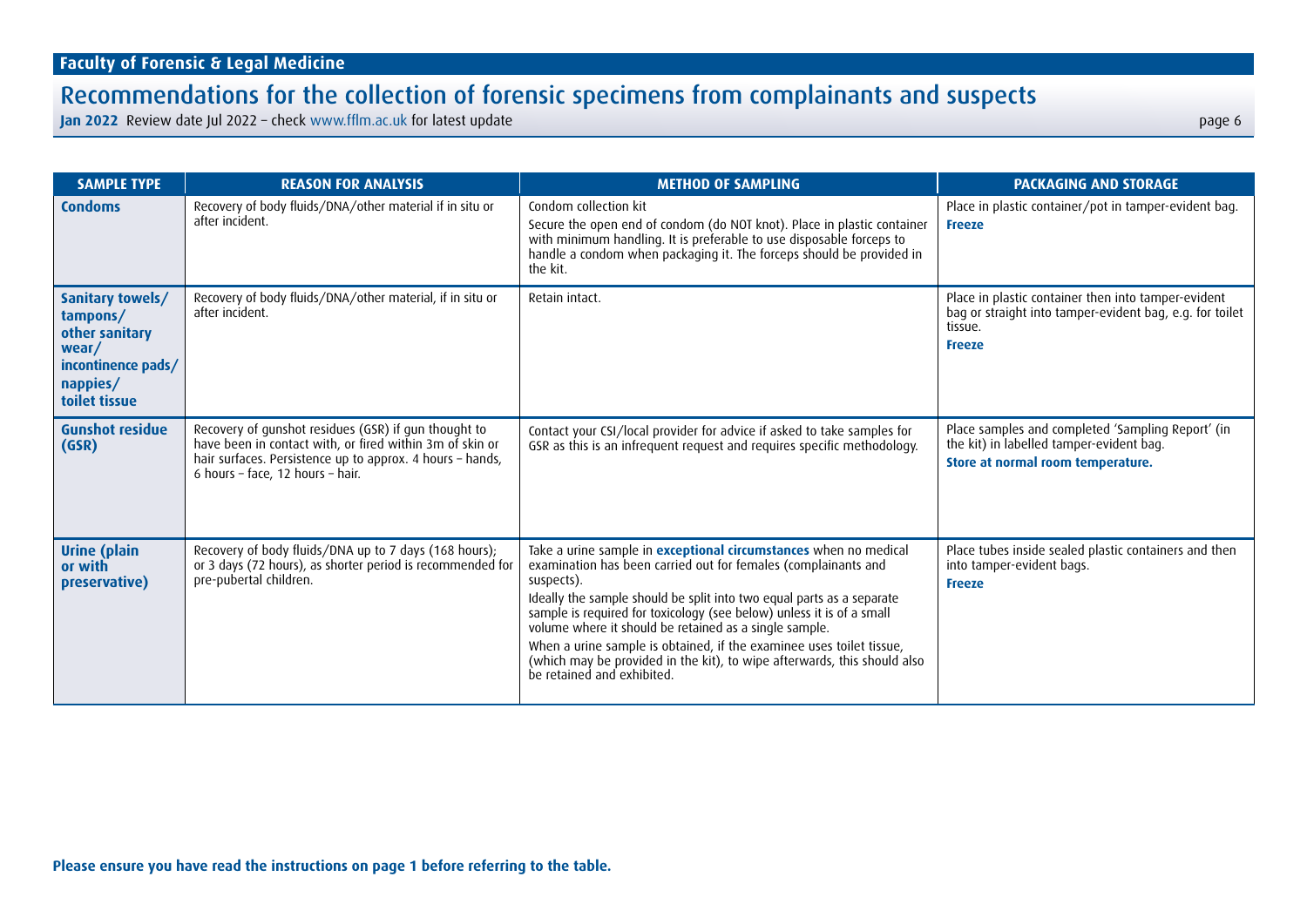| <b>SAMPLE TYPE</b>                                                                                         | <b>REASON FOR ANALYSIS</b>                                                                                                                                                                                        | <b>METHOD OF SAMPLING</b>                                                                                                                                                                                                                                                                                                                                                                                                                                                                                                                            | <b>PACKAGING AND STORAGE</b>                                                                                                                |
|------------------------------------------------------------------------------------------------------------|-------------------------------------------------------------------------------------------------------------------------------------------------------------------------------------------------------------------|------------------------------------------------------------------------------------------------------------------------------------------------------------------------------------------------------------------------------------------------------------------------------------------------------------------------------------------------------------------------------------------------------------------------------------------------------------------------------------------------------------------------------------------------------|---------------------------------------------------------------------------------------------------------------------------------------------|
| <b>Condoms</b>                                                                                             | Recovery of body fluids/DNA/other material if in situ or<br>after incident.                                                                                                                                       | Condom collection kit<br>Secure the open end of condom (do NOT knot). Place in plastic container<br>with minimum handling. It is preferable to use disposable forceps to<br>handle a condom when packaging it. The forceps should be provided in<br>the kit.                                                                                                                                                                                                                                                                                         | Place in plastic container/pot in tamper-evident bag.<br><b>Freeze</b>                                                                      |
| Sanitary towels/<br>tampons/<br>other sanitary<br>wear/<br>incontinence pads/<br>nappies/<br>toilet tissue | Recovery of body fluids/DNA/other material, if in situ or<br>after incident.                                                                                                                                      | Retain intact.                                                                                                                                                                                                                                                                                                                                                                                                                                                                                                                                       | Place in plastic container then into tamper-evident<br>bag or straight into tamper-evident bag, e.g. for toilet<br>tissue.<br><b>Freeze</b> |
| <b>Gunshot residue</b><br>(GSR)                                                                            | Recovery of gunshot residues (GSR) if gun thought to<br>have been in contact with, or fired within 3m of skin or<br>hair surfaces. Persistence up to approx. 4 hours - hands,<br>6 hours - face, 12 hours - hair. | Contact your CSI/local provider for advice if asked to take samples for<br>GSR as this is an infrequent request and requires specific methodology.                                                                                                                                                                                                                                                                                                                                                                                                   | Place samples and completed 'Sampling Report' (in<br>the kit) in labelled tamper-evident bag.<br>Store at normal room temperature.          |
| <b>Urine</b> (plain<br>or with<br>preservative)                                                            | Recovery of body fluids/DNA up to 7 days (168 hours);<br>or 3 days (72 hours), as shorter period is recommended for<br>pre-pubertal children.                                                                     | Take a urine sample in <b>exceptional circumstances</b> when no medical<br>examination has been carried out for females (complainants and<br>suspects).<br>Ideally the sample should be split into two equal parts as a separate<br>sample is required for toxicology (see below) unless it is of a small<br>volume where it should be retained as a single sample.<br>When a urine sample is obtained, if the examinee uses toilet tissue,<br>(which may be provided in the kit), to wipe afterwards, this should also<br>be retained and exhibited | Place tubes inside sealed plastic containers and then<br>into tamper-evident bags.<br><b>Freeze</b>                                         |